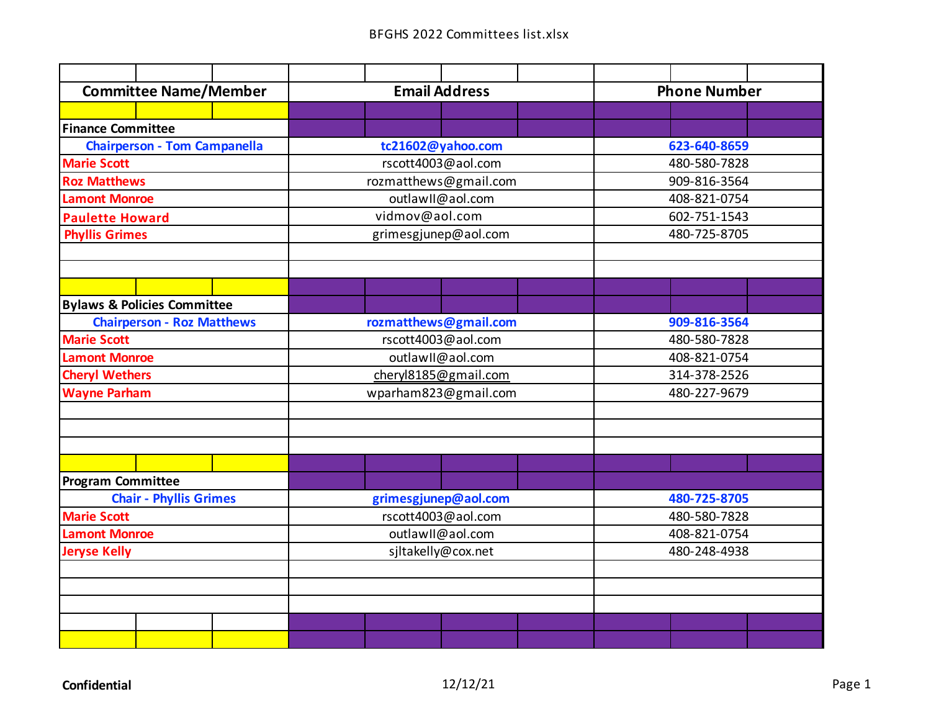| <b>Committee Name/Member</b>  |                                        |  |                      | <b>Email Address</b>  |  |  |              | <b>Phone Number</b> |  |  |  |
|-------------------------------|----------------------------------------|--|----------------------|-----------------------|--|--|--------------|---------------------|--|--|--|
|                               |                                        |  |                      |                       |  |  |              |                     |  |  |  |
| <b>Finance Committee</b>      |                                        |  |                      |                       |  |  |              |                     |  |  |  |
|                               | <b>Chairperson - Tom Campanella</b>    |  |                      | tc21602@yahoo.com     |  |  |              | 623-640-8659        |  |  |  |
| <b>Marie Scott</b>            |                                        |  |                      | rscott4003@aol.com    |  |  |              | 480-580-7828        |  |  |  |
| <b>Roz Matthews</b>           |                                        |  |                      | rozmatthews@gmail.com |  |  |              | 909-816-3564        |  |  |  |
| <b>Lamont Monroe</b>          |                                        |  |                      | outlawll@aol.com      |  |  |              | 408-821-0754        |  |  |  |
| <b>Paulette Howard</b>        |                                        |  |                      | vidmov@aol.com        |  |  |              | 602-751-1543        |  |  |  |
| <b>Phyllis Grimes</b>         |                                        |  |                      | grimesgjunep@aol.com  |  |  |              | 480-725-8705        |  |  |  |
|                               |                                        |  |                      |                       |  |  |              |                     |  |  |  |
|                               |                                        |  |                      |                       |  |  |              |                     |  |  |  |
|                               |                                        |  |                      |                       |  |  |              |                     |  |  |  |
|                               | <b>Bylaws &amp; Policies Committee</b> |  |                      |                       |  |  |              |                     |  |  |  |
|                               | <b>Chairperson - Roz Matthews</b>      |  |                      | rozmatthews@gmail.com |  |  |              | 909-816-3564        |  |  |  |
| <b>Marie Scott</b>            |                                        |  |                      | rscott4003@aol.com    |  |  |              | 480-580-7828        |  |  |  |
| <b>Lamont Monroe</b>          |                                        |  |                      | outlawII@aol.com      |  |  |              | 408-821-0754        |  |  |  |
| <b>Cheryl Wethers</b>         |                                        |  |                      | cheryl8185@gmail.com  |  |  |              | 314-378-2526        |  |  |  |
| <b>Wayne Parham</b>           |                                        |  |                      | wparham823@gmail.com  |  |  | 480-227-9679 |                     |  |  |  |
|                               |                                        |  |                      |                       |  |  |              |                     |  |  |  |
|                               |                                        |  |                      |                       |  |  |              |                     |  |  |  |
|                               |                                        |  |                      |                       |  |  |              |                     |  |  |  |
|                               |                                        |  |                      |                       |  |  |              |                     |  |  |  |
| <b>Program Committee</b>      |                                        |  |                      |                       |  |  |              |                     |  |  |  |
| <b>Chair - Phyllis Grimes</b> |                                        |  | grimesgjunep@aol.com |                       |  |  | 480-725-8705 |                     |  |  |  |
| <b>Marie Scott</b>            |                                        |  | rscott4003@aol.com   |                       |  |  | 480-580-7828 |                     |  |  |  |
| <b>Lamont Monroe</b>          |                                        |  | outlawII@aol.com     |                       |  |  | 408-821-0754 |                     |  |  |  |
| <b>Jeryse Kelly</b>           |                                        |  | sjltakelly@cox.net   |                       |  |  | 480-248-4938 |                     |  |  |  |
|                               |                                        |  |                      |                       |  |  |              |                     |  |  |  |
|                               |                                        |  |                      |                       |  |  |              |                     |  |  |  |
|                               |                                        |  |                      |                       |  |  |              |                     |  |  |  |
|                               |                                        |  |                      |                       |  |  |              |                     |  |  |  |
|                               |                                        |  |                      |                       |  |  |              |                     |  |  |  |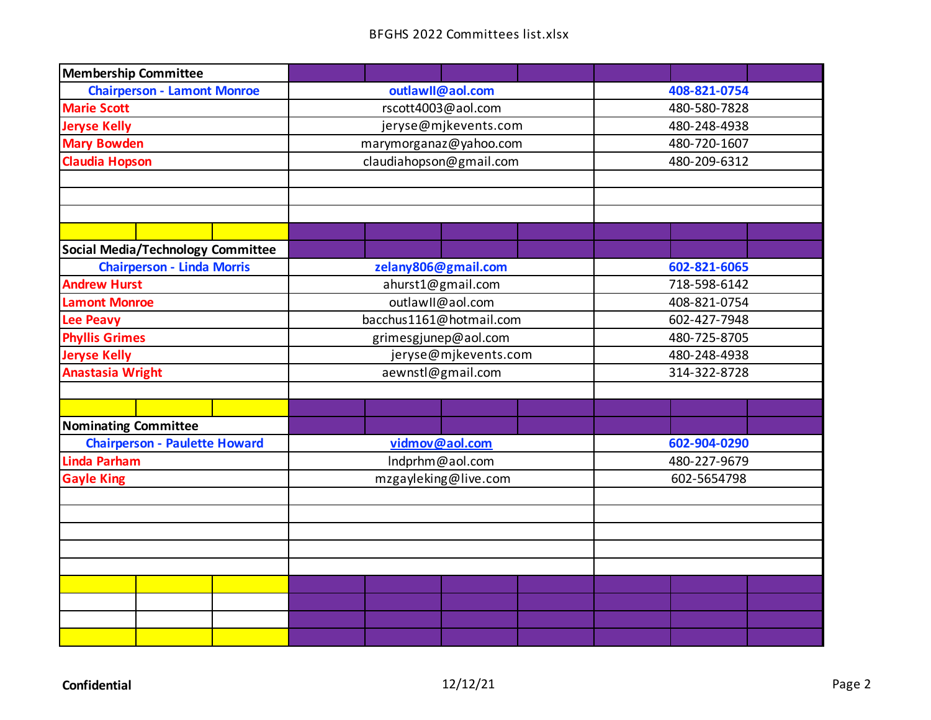| <b>Membership Committee</b>              |                         |              |  |  |  |
|------------------------------------------|-------------------------|--------------|--|--|--|
| <b>Chairperson - Lamont Monroe</b>       | outlawll@aol.com        | 408-821-0754 |  |  |  |
| <b>Marie Scott</b>                       | rscott4003@aol.com      | 480-580-7828 |  |  |  |
| <b>Jeryse Kelly</b>                      | jeryse@mjkevents.com    | 480-248-4938 |  |  |  |
| <b>Mary Bowden</b>                       | marymorganaz@yahoo.com  | 480-720-1607 |  |  |  |
| <b>Claudia Hopson</b>                    | claudiahopson@gmail.com | 480-209-6312 |  |  |  |
|                                          |                         |              |  |  |  |
|                                          |                         |              |  |  |  |
|                                          |                         |              |  |  |  |
|                                          |                         |              |  |  |  |
| <b>Social Media/Technology Committee</b> |                         |              |  |  |  |
| <b>Chairperson - Linda Morris</b>        | zelany806@gmail.com     | 602-821-6065 |  |  |  |
| <b>Andrew Hurst</b>                      | ahurst1@gmail.com       | 718-598-6142 |  |  |  |
| <b>Lamont Monroe</b>                     | outlawll@aol.com        | 408-821-0754 |  |  |  |
| <b>Lee Peavy</b>                         | bacchus1161@hotmail.com | 602-427-7948 |  |  |  |
| <b>Phyllis Grimes</b>                    | grimesgjunep@aol.com    | 480-725-8705 |  |  |  |
| <b>Jeryse Kelly</b>                      | jeryse@mjkevents.com    | 480-248-4938 |  |  |  |
| <b>Anastasia Wright</b>                  | aewnstl@gmail.com       | 314-322-8728 |  |  |  |
|                                          |                         |              |  |  |  |
|                                          |                         |              |  |  |  |
| <b>Nominating Committee</b>              |                         |              |  |  |  |
| <b>Chairperson - Paulette Howard</b>     | vidmov@aol.com          | 602-904-0290 |  |  |  |
| <b>Linda Parham</b>                      | Indprhm@aol.com         | 480-227-9679 |  |  |  |
| <b>Gayle King</b>                        | mzgayleking@live.com    | 602-5654798  |  |  |  |
|                                          |                         |              |  |  |  |
|                                          |                         |              |  |  |  |
|                                          |                         |              |  |  |  |
|                                          |                         |              |  |  |  |
|                                          |                         |              |  |  |  |
|                                          |                         |              |  |  |  |
|                                          |                         |              |  |  |  |
|                                          |                         |              |  |  |  |
|                                          |                         |              |  |  |  |